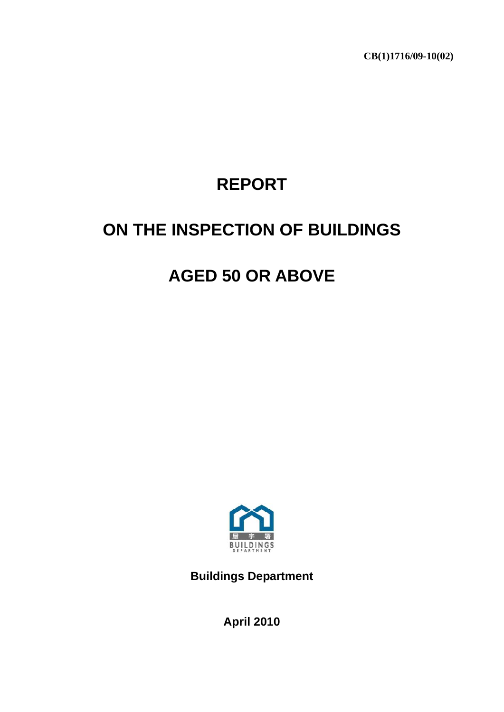**CB(1)1716/09-10(02)** 

# **REPORT**

## **ON THE INSPECTION OF BUILDINGS**

### **AGED 50 OR ABOVE**



**Buildings Department** 

**April 2010**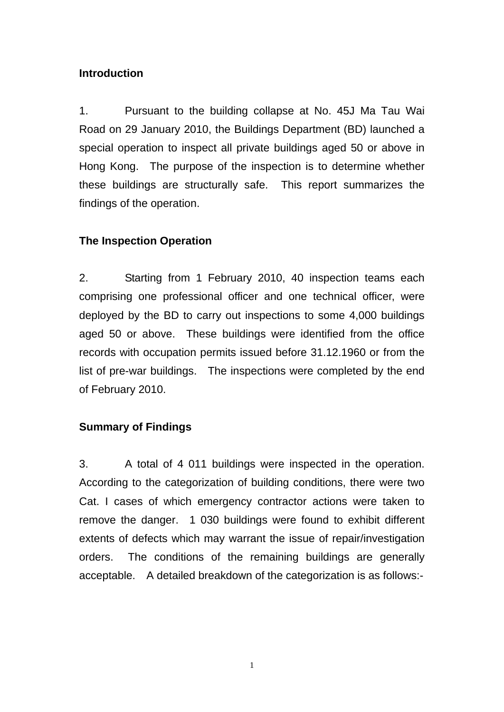#### **Introduction**

1. Pursuant to the building collapse at No. 45J Ma Tau Wai Road on 29 January 2010, the Buildings Department (BD) launched a special operation to inspect all private buildings aged 50 or above in Hong Kong. The purpose of the inspection is to determine whether these buildings are structurally safe. This report summarizes the findings of the operation.

#### **The Inspection Operation**

2. Starting from 1 February 2010, 40 inspection teams each comprising one professional officer and one technical officer, were deployed by the BD to carry out inspections to some 4,000 buildings aged 50 or above. These buildings were identified from the office records with occupation permits issued before 31.12.1960 or from the list of pre-war buildings. The inspections were completed by the end of February 2010.

#### **Summary of Findings**

3. A total of 4 011 buildings were inspected in the operation. According to the categorization of building conditions, there were two Cat. I cases of which emergency contractor actions were taken to remove the danger. 1 030 buildings were found to exhibit different extents of defects which may warrant the issue of repair/investigation orders. The conditions of the remaining buildings are generally acceptable. A detailed breakdown of the categorization is as follows:-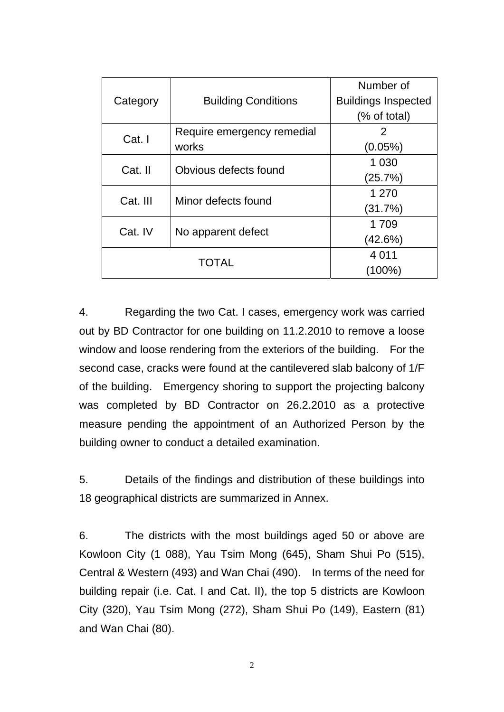| Category | <b>Building Conditions</b> | Number of                  |  |
|----------|----------------------------|----------------------------|--|
|          |                            | <b>Buildings Inspected</b> |  |
|          |                            | (% of total)               |  |
| Cat. I   | Require emergency remedial | 2                          |  |
|          | works                      | $(0.05\%)$                 |  |
| Cat. II  | Obvious defects found      | 1 0 3 0                    |  |
|          |                            | (25.7%)                    |  |
| Cat. III | Minor defects found        | 1 270                      |  |
|          |                            | (31.7%)                    |  |
| Cat. IV  | No apparent defect         | 1709                       |  |
|          |                            | (42.6%)                    |  |
|          | 4 0 1 1                    |                            |  |
|          | $(100\%)$                  |                            |  |

4. Regarding the two Cat. I cases, emergency work was carried out by BD Contractor for one building on 11.2.2010 to remove a loose window and loose rendering from the exteriors of the building. For the second case, cracks were found at the cantilevered slab balcony of 1/F of the building. Emergency shoring to support the projecting balcony was completed by BD Contractor on 26.2.2010 as a protective measure pending the appointment of an Authorized Person by the building owner to conduct a detailed examination.

5. Details of the findings and distribution of these buildings into 18 geographical districts are summarized in Annex.

6. The districts with the most buildings aged 50 or above are Kowloon City (1 088), Yau Tsim Mong (645), Sham Shui Po (515), Central & Western (493) and Wan Chai (490). In terms of the need for building repair (i.e. Cat. I and Cat. II), the top 5 districts are Kowloon City (320), Yau Tsim Mong (272), Sham Shui Po (149), Eastern (81) and Wan Chai (80).

2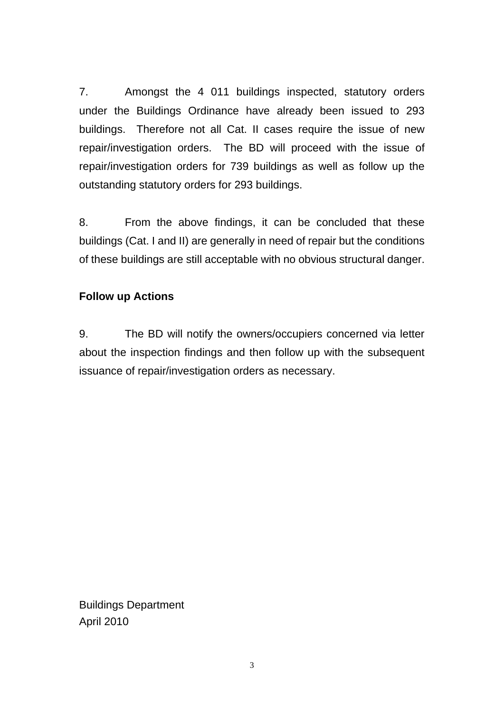7. Amongst the 4 011 buildings inspected, statutory orders under the Buildings Ordinance have already been issued to 293 buildings. Therefore not all Cat. II cases require the issue of new repair/investigation orders. The BD will proceed with the issue of repair/investigation orders for 739 buildings as well as follow up the outstanding statutory orders for 293 buildings.

8. From the above findings, it can be concluded that these buildings (Cat. I and II) are generally in need of repair but the conditions of these buildings are still acceptable with no obvious structural danger.

#### **Follow up Actions**

9. The BD will notify the owners/occupiers concerned via letter about the inspection findings and then follow up with the subsequent issuance of repair/investigation orders as necessary.

Buildings Department April 2010